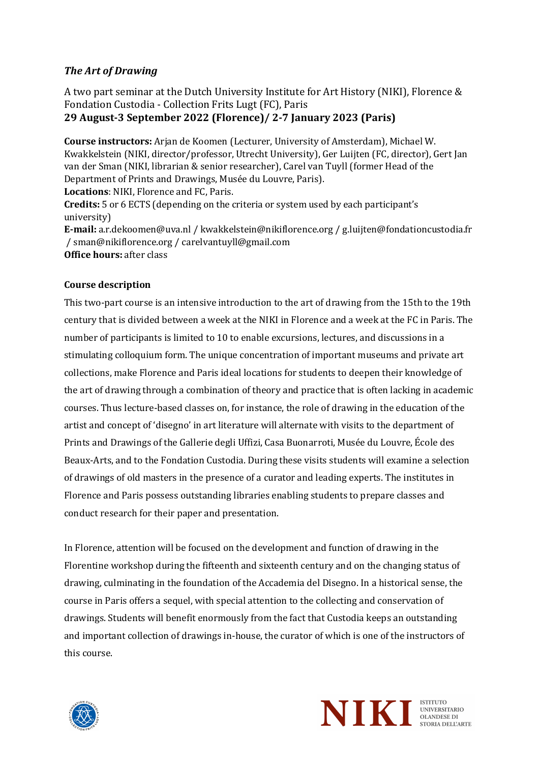# **The Art of Drawing**

A two part seminar at the Dutch University Institute for Art History (NIKI), Florence & Fondation Custodia - Collection Frits Lugt (FC), Paris **29 August-3 September 2022 (Florence)/ 2-7 January 2023 (Paris)**

**Course instructors:** Arjan de Koomen (Lecturer, University of Amsterdam), Michael W. Kwakkelstein (NIKI, director/professor, Utrecht University), Ger Luijten (FC, director), Gert Jan van der Sman (NIKI, librarian & senior researcher), Carel van Tuyll (former Head of the Department of Prints and Drawings, Musée du Louvre, Paris). Locations: NIKI, Florence and FC, Paris. **Credits:** 5 or 6 ECTS (depending on the criteria or system used by each participant's university) **E-mail:** a.r.dekoomen@uva.nl / kwakkelstein@nikiflorence.org / g.luijten@fondationcustodia.fr / sman@nikiflorence.org / carelvantuyll@gmail.com **Office hours:** after class

# **Course description**

This two-part course is an intensive introduction to the art of drawing from the 15th to the 19th century that is divided between a week at the NIKI in Florence and a week at the FC in Paris. The number of participants is limited to 10 to enable excursions, lectures, and discussions in a stimulating colloquium form. The unique concentration of important museums and private art collections, make Florence and Paris ideal locations for students to deepen their knowledge of the art of drawing through a combination of theory and practice that is often lacking in academic courses. Thus lecture-based classes on, for instance, the role of drawing in the education of the artist and concept of 'disegno' in art literature will alternate with visits to the department of Prints and Drawings of the Gallerie degli Uffizi, Casa Buonarroti, Musée du Louvre, École des Beaux-Arts, and to the Fondation Custodia. During these visits students will examine a selection of drawings of old masters in the presence of a curator and leading experts. The institutes in Florence and Paris possess outstanding libraries enabling students to prepare classes and conduct research for their paper and presentation.

In Florence, attention will be focused on the development and function of drawing in the Florentine workshop during the fifteenth and sixteenth century and on the changing status of drawing, culminating in the foundation of the Accademia del Disegno. In a historical sense, the course in Paris offers a sequel, with special attention to the collecting and conservation of drawings. Students will benefit enormously from the fact that Custodia keeps an outstanding and important collection of drawings in-house, the curator of which is one of the instructors of this course.



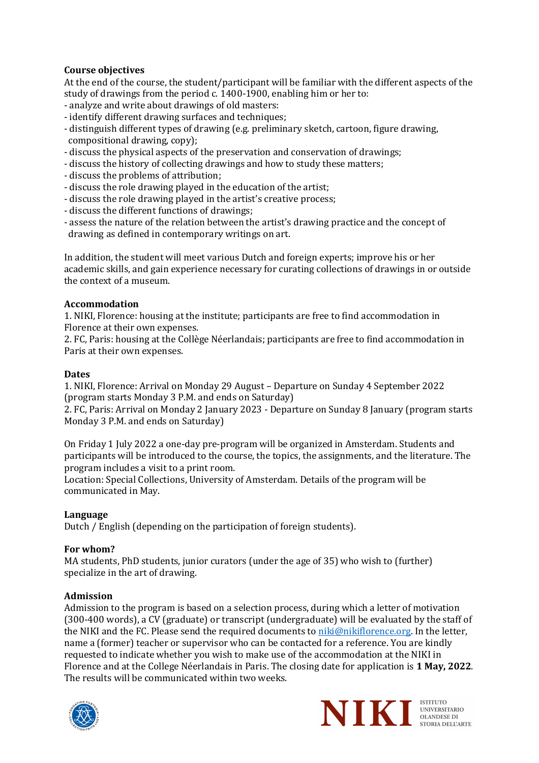# **Course objectives**

At the end of the course, the student/participant will be familiar with the different aspects of the study of drawings from the period c. 1400-1900, enabling him or her to:

- analyze and write about drawings of old masters:
- identify different drawing surfaces and techniques;
- distinguish different types of drawing (e.g. preliminary sketch, cartoon, figure drawing, compositional drawing, copy);
- discuss the physical aspects of the preservation and conservation of drawings;
- discuss the history of collecting drawings and how to study these matters;
- discuss the problems of attribution;
- discuss the role drawing played in the education of the artist;
- discuss the role drawing played in the artist's creative process;
- discuss the different functions of drawings;
- assess the nature of the relation between the artist's drawing practice and the concept of drawing as defined in contemporary writings on art.

In addition, the student will meet various Dutch and foreign experts; improve his or her academic skills, and gain experience necessary for curating collections of drawings in or outside the context of a museum.

## **Accommodation**

1. NIKI, Florence: housing at the institute; participants are free to find accommodation in Florence at their own expenses.

2. FC, Paris: housing at the Collège Néerlandais; participants are free to find accommodation in Paris at their own expenses.

## **Dates**

1. NIKI, Florence: Arrival on Monday 29 August – Departure on Sunday 4 September 2022 (program starts Monday 3 P.M. and ends on Saturday)

2. FC, Paris: Arrival on Monday 2 January 2023 - Departure on Sunday 8 January (program starts Monday 3 P.M. and ends on Saturday)

On Friday 1 July 2022 a one-day pre-program will be organized in Amsterdam. Students and participants will be introduced to the course, the topics, the assignments, and the literature. The program includes a visit to a print room.

Location: Special Collections, University of Amsterdam. Details of the program will be communicated in May.

#### **Language**

Dutch / English (depending on the participation of foreign students).

#### For whom?

MA students, PhD students, junior curators (under the age of 35) who wish to (further) specialize in the art of drawing.

#### **Admission**

Admission to the program is based on a selection process, during which a letter of motivation (300-400 words), a CV (graduate) or transcript (undergraduate) will be evaluated by the staff of the NIKI and the FC. Please send the required documents to niki@nikiflorence.org. In the letter, name a (former) teacher or supervisor who can be contacted for a reference. You are kindly requested to indicate whether you wish to make use of the accommodation at the NIKI in Florence and at the College Néerlandais in Paris. The closing date for application is 1 May, 2022. The results will be communicated within two weeks.





**ISTITUTO**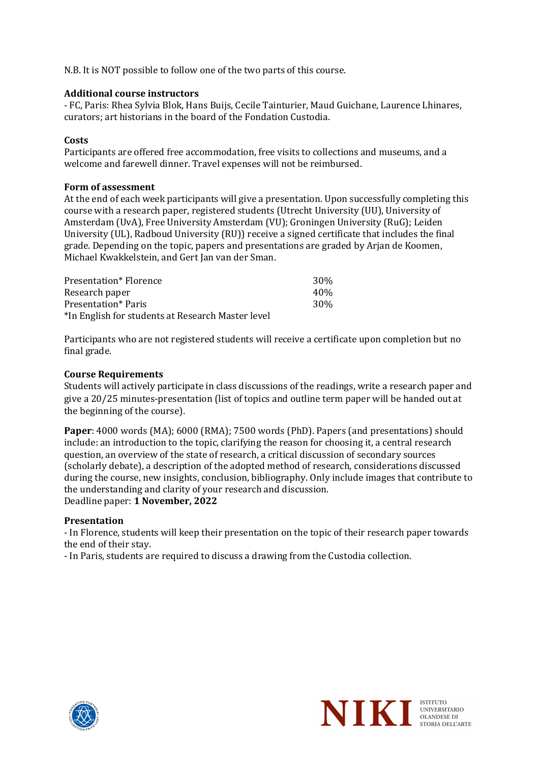N.B. It is NOT possible to follow one of the two parts of this course.

## **Additional course instructors**

- FC, Paris: Rhea Sylvia Blok, Hans Buijs, Cecile Tainturier, Maud Guichane, Laurence Lhinares, curators: art historians in the board of the Fondation Custodia.

# **Costs**

Participants are offered free accommodation, free visits to collections and museums, and a welcome and farewell dinner. Travel expenses will not be reimbursed.

## **Form of assessment**

At the end of each week participants will give a presentation. Upon successfully completing this course with a research paper, registered students (Utrecht University (UU), University of Amsterdam (UvA), Free University Amsterdam (VU); Groningen University (RuG); Leiden University (UL), Radboud University (RU)) receive a signed certificate that includes the final grade. Depending on the topic, papers and presentations are graded by Arjan de Koomen, Michael Kwakkelstein, and Gert Jan van der Sman.

| Presentation* Florence                            | 30 <sup>%</sup> |
|---------------------------------------------------|-----------------|
| Research paper                                    | 40%             |
| Presentation* Paris                               | 30 <sup>%</sup> |
| *In English for students at Research Master level |                 |

Participants who are not registered students will receive a certificate upon completion but no final grade.

# **Course Requirements**

Students will actively participate in class discussions of the readings, write a research paper and give a 20/25 minutes-presentation (list of topics and outline term paper will be handed out at the beginning of the course).

**Paper**: 4000 words (MA); 6000 (RMA); 7500 words (PhD). Papers (and presentations) should include: an introduction to the topic, clarifying the reason for choosing it, a central research question, an overview of the state of research, a critical discussion of secondary sources (scholarly debate), a description of the adopted method of research, considerations discussed during the course, new insights, conclusion, bibliography. Only include images that contribute to the understanding and clarity of your research and discussion. Deadline paper: 1 November, 2022

## **Presentation**

- In Florence, students will keep their presentation on the topic of their research paper towards the end of their stay.

- In Paris, students are required to discuss a drawing from the Custodia collection.



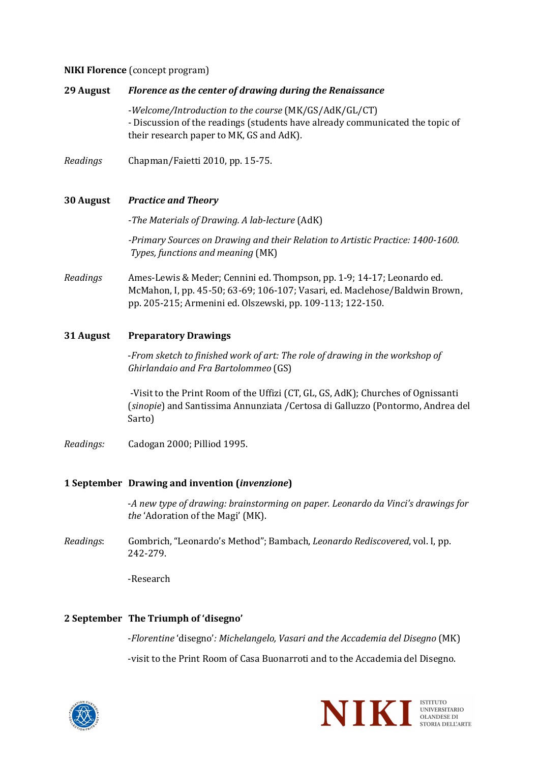## **NIKI Florence** (concept program)

| <b>29 August</b> | Florence as the center of drawing during the Renaissance                                                                                                                                                            |
|------------------|---------------------------------------------------------------------------------------------------------------------------------------------------------------------------------------------------------------------|
|                  | -Welcome/Introduction to the course (MK/GS/AdK/GL/CT)<br>- Discussion of the readings (students have already communicated the topic of<br>their research paper to MK, GS and AdK).                                  |
| Readings         | Chapman/Faietti 2010, pp. 15-75.                                                                                                                                                                                    |
| <b>30 August</b> | <b>Practice and Theory</b>                                                                                                                                                                                          |
|                  | -The Materials of Drawing. A lab-lecture (AdK)                                                                                                                                                                      |
|                  | -Primary Sources on Drawing and their Relation to Artistic Practice: 1400-1600.<br>Types, functions and meaning (MK)                                                                                                |
| Readings         | Ames-Lewis & Meder; Cennini ed. Thompson, pp. 1-9; 14-17; Leonardo ed.<br>McMahon, I, pp. 45-50; 63-69; 106-107; Vasari, ed. Maclehose/Baldwin Brown,<br>pp. 205-215; Armenini ed. Olszewski, pp. 109-113; 122-150. |
| 31 August        | <b>Preparatory Drawings</b>                                                                                                                                                                                         |
|                  | -From sketch to finished work of art: The role of drawing in the workshop of<br>Ghirlandaio and Fra Bartolommeo (GS)                                                                                                |

-Visit to the Print Room of the Uffizi (CT, GL, GS, AdK); Churches of Ognissanti (sinopie) and Santissima Annunziata /Certosa di Galluzzo (Pontormo, Andrea del Sarto)

*Readings:* Cadogan 2000; Pilliod 1995.

# **1 September Drawing and invention (***invenzione***)**

-A new type of drawing: brainstorming on paper. Leonardo da Vinci's drawings for the 'Adoration of the Magi' (MK).

*Readings*: Gombrich, "Leonardo's Method"; Bambach, *Leonardo Rediscovered*, vol. I, pp. 242-279.

-Research

# **2 September The Triumph of 'disegno'**

-Florentine 'disegno': Michelangelo, Vasari and the Accademia del Disegno (MK) -visit to the Print Room of Casa Buonarroti and to the Accademia del Disegno.



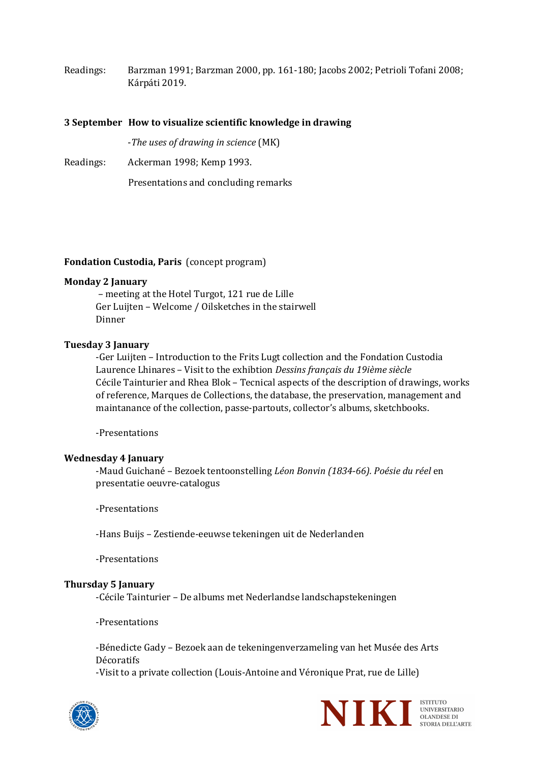Readings: Barzman 1991; Barzman 2000, pp. 161-180; Jacobs 2002; Petrioli Tofani 2008; Kárpáti 2019.

#### **3** September How to visualize scientific knowledge in drawing

-*The uses of drawing in science* (MK)

Readings: Ackerman 1998; Kemp 1993.

Presentations and concluding remarks

## **Fondation Custodia, Paris** (concept program)

#### **Monday 2 January**

– meeting at the Hotel Turgot, 121 rue de Lille Ger Luijten - Welcome / Oilsketches in the stairwell Dinner

## **Tuesday 3 January**

-Ger Luijten - Introduction to the Frits Lugt collection and the Fondation Custodia Laurence Lhinares - Visit to the exhibtion *Dessins français du 19ième siècle* Cécile Tainturier and Rhea Blok – Tecnical aspects of the description of drawings, works of reference, Marques de Collections, the database, the preservation, management and maintanance of the collection, passe-partouts, collector's albums, sketchbooks.

-Presentations

#### **Wednesday 4 January**

-Maud Guichané - Bezoek tentoonstelling *Léon Bonvin (1834-66). Poésie du réel* en presentatie oeuvre-catalogus

-Presentations

-Hans Buijs - Zestiende-eeuwse tekeningen uit de Nederlanden

-Presentations

#### **Thursday 5 January**

-Cécile Tainturier – De albums met Nederlandse landschapstekeningen

-Presentations

-Bénedicte Gady - Bezoek aan de tekeningenverzameling van het Musée des Arts Décoratifs

-Visit to a private collection (Louis-Antoine and Véronique Prat, rue de Lille)